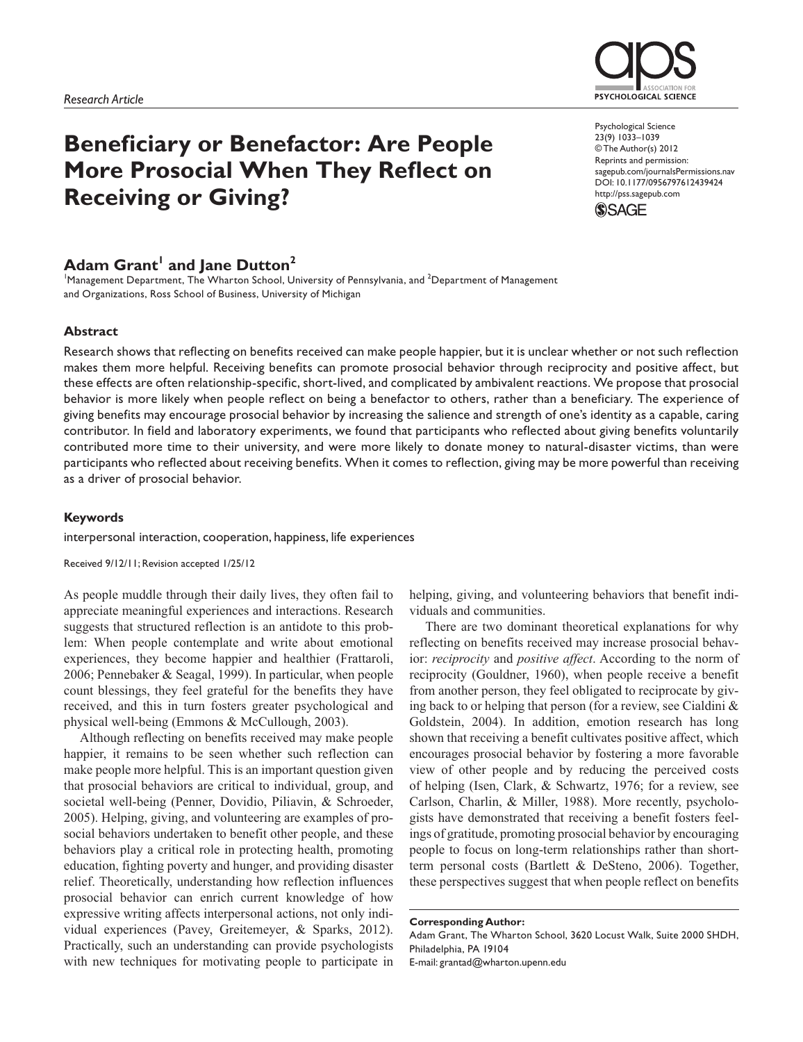# **Beneficiary or Benefactor: Are People More Prosocial When They Reflect on Receiving or Giving?**

Psychological Science 23(9) 1033–1039 © The Author(s) 2012 Reprints and permission: sagepub.com/journalsPermissions.nav DOI: 10.1177/0956797612439424 http://pss.sagepub.com



## $\mathsf{Adam}\ \mathsf{Grant}^{\mathsf{I}}$  and Jane  $\mathsf{Dutton}^2$

<sup>1</sup>Management Department, The Wharton School, University of Pennsylvania, and <sup>2</sup>Department of Management and Organizations, Ross School of Business, University of Michigan

### **Abstract**

Research shows that reflecting on benefits received can make people happier, but it is unclear whether or not such reflection makes them more helpful. Receiving benefits can promote prosocial behavior through reciprocity and positive affect, but these effects are often relationship-specific, short-lived, and complicated by ambivalent reactions. We propose that prosocial behavior is more likely when people reflect on being a benefactor to others, rather than a beneficiary. The experience of giving benefits may encourage prosocial behavior by increasing the salience and strength of one's identity as a capable, caring contributor. In field and laboratory experiments, we found that participants who reflected about giving benefits voluntarily contributed more time to their university, and were more likely to donate money to natural-disaster victims, than were participants who reflected about receiving benefits. When it comes to reflection, giving may be more powerful than receiving as a driver of prosocial behavior.

#### **Keywords**

interpersonal interaction, cooperation, happiness, life experiences

Received 9/12/11; Revision accepted 1/25/12

As people muddle through their daily lives, they often fail to appreciate meaningful experiences and interactions. Research suggests that structured reflection is an antidote to this problem: When people contemplate and write about emotional experiences, they become happier and healthier (Frattaroli, 2006; Pennebaker & Seagal, 1999). In particular, when people count blessings, they feel grateful for the benefits they have received, and this in turn fosters greater psychological and physical well-being (Emmons & McCullough, 2003).

Although reflecting on benefits received may make people happier, it remains to be seen whether such reflection can make people more helpful. This is an important question given that prosocial behaviors are critical to individual, group, and societal well-being (Penner, Dovidio, Piliavin, & Schroeder, 2005). Helping, giving, and volunteering are examples of prosocial behaviors undertaken to benefit other people, and these behaviors play a critical role in protecting health, promoting education, fighting poverty and hunger, and providing disaster relief. Theoretically, understanding how reflection influences prosocial behavior can enrich current knowledge of how expressive writing affects interpersonal actions, not only individual experiences (Pavey, Greitemeyer, & Sparks, 2012). Practically, such an understanding can provide psychologists with new techniques for motivating people to participate in helping, giving, and volunteering behaviors that benefit individuals and communities.

There are two dominant theoretical explanations for why reflecting on benefits received may increase prosocial behavior: *reciprocity* and *positive affect*. According to the norm of reciprocity (Gouldner, 1960), when people receive a benefit from another person, they feel obligated to reciprocate by giving back to or helping that person (for a review, see Cialdini & Goldstein, 2004). In addition, emotion research has long shown that receiving a benefit cultivates positive affect, which encourages prosocial behavior by fostering a more favorable view of other people and by reducing the perceived costs of helping (Isen, Clark, & Schwartz, 1976; for a review, see Carlson, Charlin, & Miller, 1988). More recently, psychologists have demonstrated that receiving a benefit fosters feelings of gratitude, promoting prosocial behavior by encouraging people to focus on long-term relationships rather than shortterm personal costs (Bartlett & DeSteno, 2006). Together, these perspectives suggest that when people reflect on benefits

Adam Grant, The Wharton School, 3620 Locust Walk, Suite 2000 SHDH, Philadelphia, PA 19104

E-mail: grantad@wharton.upenn.edu



**Corresponding Author:**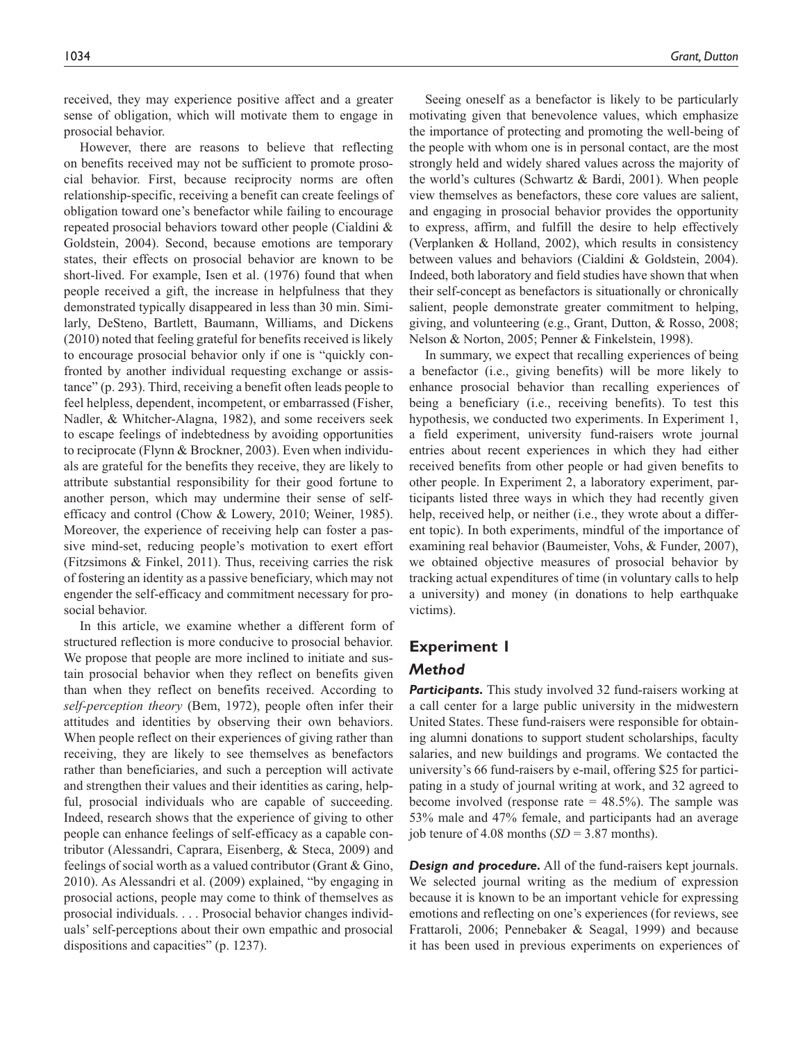received, they may experience positive affect and a greater sense of obligation, which will motivate them to engage in prosocial behavior.

However, there are reasons to believe that reflecting on benefits received may not be sufficient to promote prosocial behavior. First, because reciprocity norms are often relationship-specific, receiving a benefit can create feelings of obligation toward one's benefactor while failing to encourage repeated prosocial behaviors toward other people (Cialdini & Goldstein, 2004). Second, because emotions are temporary states, their effects on prosocial behavior are known to be short-lived. For example, Isen et al. (1976) found that when people received a gift, the increase in helpfulness that they demonstrated typically disappeared in less than 30 min. Similarly, DeSteno, Bartlett, Baumann, Williams, and Dickens (2010) noted that feeling grateful for benefits received is likely to encourage prosocial behavior only if one is "quickly confronted by another individual requesting exchange or assistance" (p. 293). Third, receiving a benefit often leads people to feel helpless, dependent, incompetent, or embarrassed (Fisher, Nadler, & Whitcher-Alagna, 1982), and some receivers seek to escape feelings of indebtedness by avoiding opportunities to reciprocate (Flynn & Brockner, 2003). Even when individuals are grateful for the benefits they receive, they are likely to attribute substantial responsibility for their good fortune to another person, which may undermine their sense of selfefficacy and control (Chow & Lowery, 2010; Weiner, 1985). Moreover, the experience of receiving help can foster a passive mind-set, reducing people's motivation to exert effort (Fitzsimons & Finkel, 2011). Thus, receiving carries the risk of fostering an identity as a passive beneficiary, which may not engender the self-efficacy and commitment necessary for prosocial behavior.

In this article, we examine whether a different form of structured reflection is more conducive to prosocial behavior. We propose that people are more inclined to initiate and sustain prosocial behavior when they reflect on benefits given than when they reflect on benefits received. According to *self-perception theory* (Bem, 1972), people often infer their attitudes and identities by observing their own behaviors. When people reflect on their experiences of giving rather than receiving, they are likely to see themselves as benefactors rather than beneficiaries, and such a perception will activate and strengthen their values and their identities as caring, helpful, prosocial individuals who are capable of succeeding. Indeed, research shows that the experience of giving to other people can enhance feelings of self-efficacy as a capable contributor (Alessandri, Caprara, Eisenberg, & Steca, 2009) and feelings of social worth as a valued contributor (Grant & Gino, 2010). As Alessandri et al. (2009) explained, "by engaging in prosocial actions, people may come to think of themselves as prosocial individuals. . . . Prosocial behavior changes individuals' self-perceptions about their own empathic and prosocial dispositions and capacities" (p. 1237).

Seeing oneself as a benefactor is likely to be particularly motivating given that benevolence values, which emphasize the importance of protecting and promoting the well-being of the people with whom one is in personal contact, are the most strongly held and widely shared values across the majority of the world's cultures (Schwartz & Bardi, 2001). When people view themselves as benefactors, these core values are salient, and engaging in prosocial behavior provides the opportunity to express, affirm, and fulfill the desire to help effectively (Verplanken & Holland, 2002), which results in consistency between values and behaviors (Cialdini & Goldstein, 2004). Indeed, both laboratory and field studies have shown that when their self-concept as benefactors is situationally or chronically salient, people demonstrate greater commitment to helping, giving, and volunteering (e.g., Grant, Dutton, & Rosso, 2008; Nelson & Norton, 2005; Penner & Finkelstein, 1998).

In summary, we expect that recalling experiences of being a benefactor (i.e., giving benefits) will be more likely to enhance prosocial behavior than recalling experiences of being a beneficiary (i.e., receiving benefits). To test this hypothesis, we conducted two experiments. In Experiment 1, a field experiment, university fund-raisers wrote journal entries about recent experiences in which they had either received benefits from other people or had given benefits to other people. In Experiment 2, a laboratory experiment, participants listed three ways in which they had recently given help, received help, or neither (i.e., they wrote about a different topic). In both experiments, mindful of the importance of examining real behavior (Baumeister, Vohs, & Funder, 2007), we obtained objective measures of prosocial behavior by tracking actual expenditures of time (in voluntary calls to help a university) and money (in donations to help earthquake victims).

## **Experiment 1**

## *Method*

**Participants.** This study involved 32 fund-raisers working at a call center for a large public university in the midwestern United States. These fund-raisers were responsible for obtaining alumni donations to support student scholarships, faculty salaries, and new buildings and programs. We contacted the university's 66 fund-raisers by e-mail, offering \$25 for participating in a study of journal writing at work, and 32 agreed to become involved (response rate  $= 48.5\%$ ). The sample was 53% male and 47% female, and participants had an average job tenure of 4.08 months  $(SD = 3.87$  months).

*Design and procedure.* All of the fund-raisers kept journals. We selected journal writing as the medium of expression because it is known to be an important vehicle for expressing emotions and reflecting on one's experiences (for reviews, see Frattaroli, 2006; Pennebaker & Seagal, 1999) and because it has been used in previous experiments on experiences of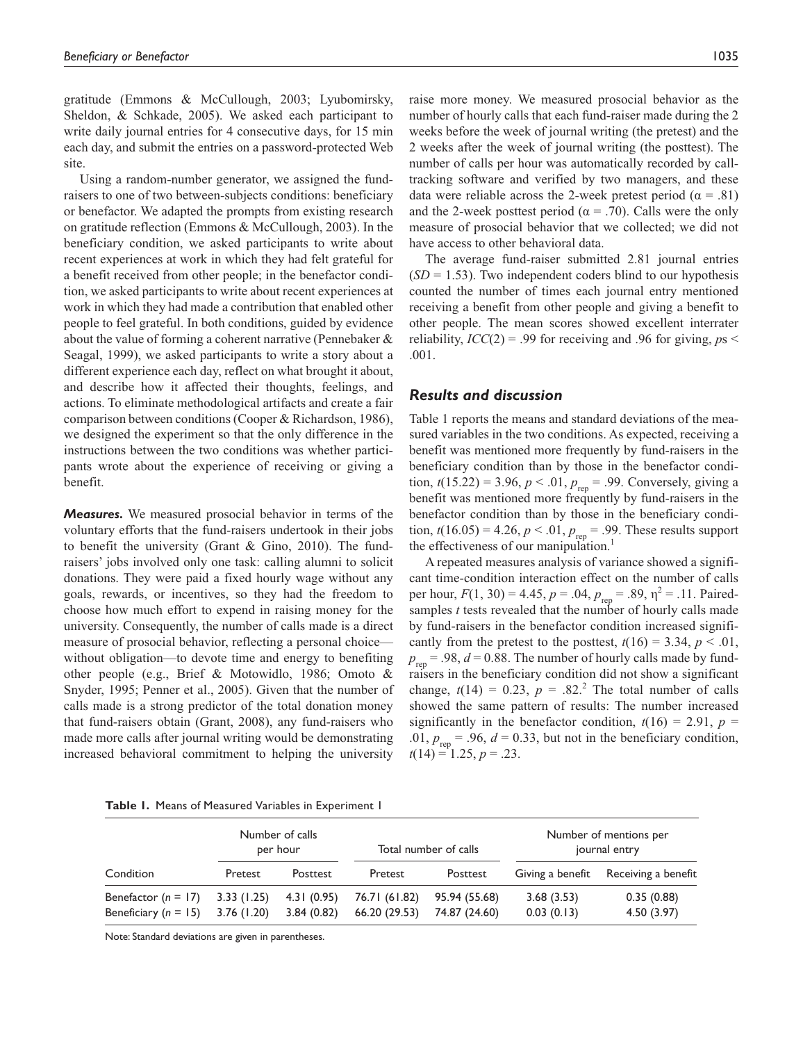gratitude (Emmons & McCullough, 2003; Lyubomirsky, Sheldon, & Schkade, 2005). We asked each participant to write daily journal entries for 4 consecutive days, for 15 min each day, and submit the entries on a password-protected Web site.

Using a random-number generator, we assigned the fundraisers to one of two between-subjects conditions: beneficiary or benefactor. We adapted the prompts from existing research on gratitude reflection (Emmons & McCullough, 2003). In the beneficiary condition, we asked participants to write about recent experiences at work in which they had felt grateful for a benefit received from other people; in the benefactor condition, we asked participants to write about recent experiences at work in which they had made a contribution that enabled other people to feel grateful. In both conditions, guided by evidence about the value of forming a coherent narrative (Pennebaker & Seagal, 1999), we asked participants to write a story about a different experience each day, reflect on what brought it about, and describe how it affected their thoughts, feelings, and actions. To eliminate methodological artifacts and create a fair comparison between conditions (Cooper & Richardson, 1986), we designed the experiment so that the only difference in the instructions between the two conditions was whether participants wrote about the experience of receiving or giving a benefit.

*Measures.* We measured prosocial behavior in terms of the voluntary efforts that the fund-raisers undertook in their jobs to benefit the university (Grant & Gino, 2010). The fundraisers' jobs involved only one task: calling alumni to solicit donations. They were paid a fixed hourly wage without any goals, rewards, or incentives, so they had the freedom to choose how much effort to expend in raising money for the university. Consequently, the number of calls made is a direct measure of prosocial behavior, reflecting a personal choice without obligation—to devote time and energy to benefiting other people (e.g., Brief & Motowidlo, 1986; Omoto & Snyder, 1995; Penner et al., 2005). Given that the number of calls made is a strong predictor of the total donation money that fund-raisers obtain (Grant, 2008), any fund-raisers who made more calls after journal writing would be demonstrating increased behavioral commitment to helping the university

raise more money. We measured prosocial behavior as the number of hourly calls that each fund-raiser made during the 2 weeks before the week of journal writing (the pretest) and the 2 weeks after the week of journal writing (the posttest). The number of calls per hour was automatically recorded by calltracking software and verified by two managers, and these data were reliable across the 2-week pretest period ( $\alpha = .81$ ) and the 2-week posttest period ( $\alpha$  = .70). Calls were the only measure of prosocial behavior that we collected; we did not have access to other behavioral data.

The average fund-raiser submitted 2.81 journal entries  $(SD = 1.53)$ . Two independent coders blind to our hypothesis counted the number of times each journal entry mentioned receiving a benefit from other people and giving a benefit to other people. The mean scores showed excellent interrater reliability,  $ICC(2) = .99$  for receiving and .96 for giving,  $ps <$ .001.

## *Results and discussion*

Table 1 reports the means and standard deviations of the measured variables in the two conditions. As expected, receiving a benefit was mentioned more frequently by fund-raisers in the beneficiary condition than by those in the benefactor condition,  $t(15.22) = 3.96$ ,  $p < .01$ ,  $p_{\text{rep}} = .99$ . Conversely, giving a benefit was mentioned more frequently by fund-raisers in the benefactor condition than by those in the beneficiary condition,  $t(16.05) = 4.26$ ,  $p < .01$ ,  $p_{\text{ren}} = .99$ . These results support the effectiveness of our manipulation.<sup>1</sup>

A repeated measures analysis of variance showed a significant time-condition interaction effect on the number of calls per hour,  $F(1, 30) = 4.45$ ,  $p = .04$ ,  $p_{\text{rep}} = .89$ ,  $\eta^2 = .11$ . Pairedsamples *t* tests revealed that the number of hourly calls made by fund-raisers in the benefactor condition increased significantly from the pretest to the posttest,  $t(16) = 3.34$ ,  $p < .01$ ,  $p_{\text{rep}}$  = .98,  $d$  = 0.88. The number of hourly calls made by fundraisers in the beneficiary condition did not show a significant change,  $t(14) = 0.23$ ,  $p = .82<sup>2</sup>$ . The total number of calls showed the same pattern of results: The number increased significantly in the benefactor condition,  $t(16) = 2.91$ ,  $p =$ .01,  $p_{\text{rep}} = .96$ ,  $d = 0.33$ , but not in the beneficiary condition,  $t(14) = 1.25, p = .23.$ 

**Table 1.** Means of Measured Variables in Experiment 1

|                        | Number of calls<br>per hour |            | Total number of calls |               | Number of mentions per<br>journal entry |                                      |
|------------------------|-----------------------------|------------|-----------------------|---------------|-----------------------------------------|--------------------------------------|
| Condition              | Pretest                     | Posttest   | Pretest               | Posttest      |                                         | Giving a benefit Receiving a benefit |
| Benefactor $(n = 17)$  | 3.33(1.25)                  | 4.31(0.95) | 76.71 (61.82)         | 95.94 (55.68) | 3.68(3.53)                              | 0.35(0.88)                           |
| Beneficiary $(n = 15)$ | 3.76(1.20)                  | 3.84(0.82) | 66.20 (29.53)         | 74.87 (24.60) | 0.03(0.13)                              | 4.50(3.97)                           |

Note: Standard deviations are given in parentheses.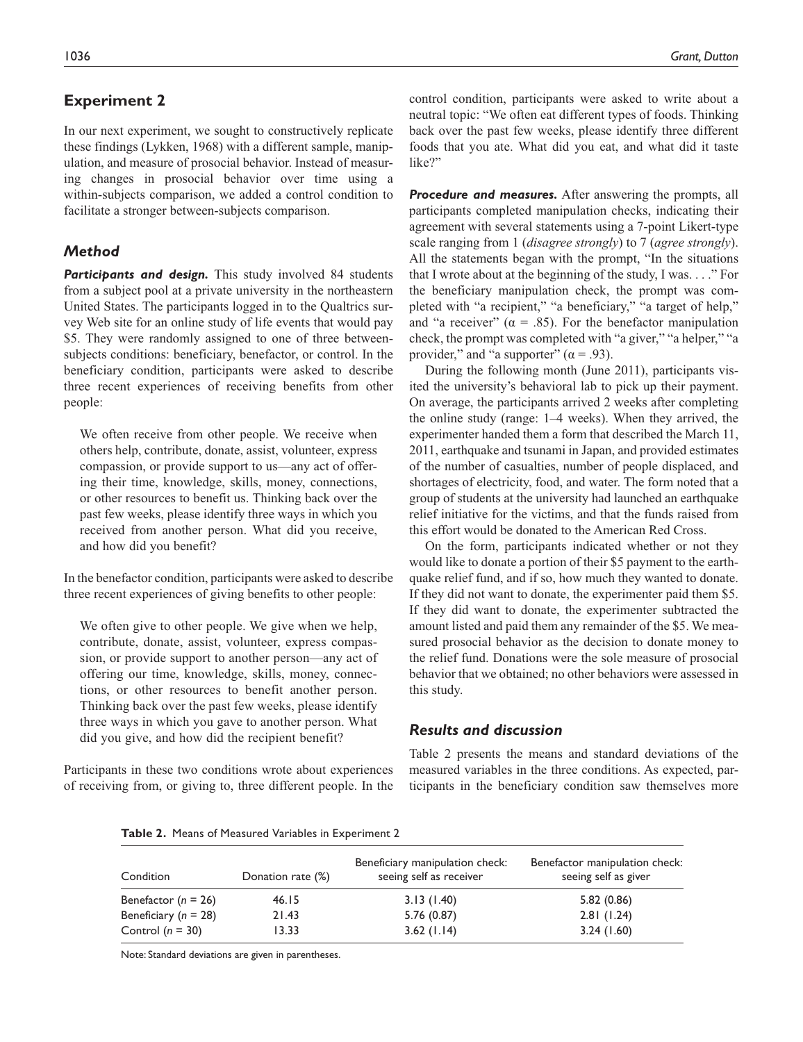## **Experiment 2**

In our next experiment, we sought to constructively replicate these findings (Lykken, 1968) with a different sample, manipulation, and measure of prosocial behavior. Instead of measuring changes in prosocial behavior over time using a within-subjects comparison, we added a control condition to facilitate a stronger between-subjects comparison.

## *Method*

Participants and design. This study involved 84 students from a subject pool at a private university in the northeastern United States. The participants logged in to the Qualtrics survey Web site for an online study of life events that would pay \$5. They were randomly assigned to one of three betweensubjects conditions: beneficiary, benefactor, or control. In the beneficiary condition, participants were asked to describe three recent experiences of receiving benefits from other people:

We often receive from other people. We receive when others help, contribute, donate, assist, volunteer, express compassion, or provide support to us—any act of offering their time, knowledge, skills, money, connections, or other resources to benefit us. Thinking back over the past few weeks, please identify three ways in which you received from another person. What did you receive, and how did you benefit?

In the benefactor condition, participants were asked to describe three recent experiences of giving benefits to other people:

We often give to other people. We give when we help, contribute, donate, assist, volunteer, express compassion, or provide support to another person—any act of offering our time, knowledge, skills, money, connections, or other resources to benefit another person. Thinking back over the past few weeks, please identify three ways in which you gave to another person. What did you give, and how did the recipient benefit?

Participants in these two conditions wrote about experiences of receiving from, or giving to, three different people. In the

control condition, participants were asked to write about a neutral topic: "We often eat different types of foods. Thinking back over the past few weeks, please identify three different foods that you ate. What did you eat, and what did it taste like?"

*Procedure and measures.* After answering the prompts, all participants completed manipulation checks, indicating their agreement with several statements using a 7-point Likert-type scale ranging from 1 (*disagree strongly*) to 7 (*agree strongly*). All the statements began with the prompt, "In the situations that I wrote about at the beginning of the study, I was. . . ." For the beneficiary manipulation check, the prompt was completed with "a recipient," "a beneficiary," "a target of help," and "a receiver" ( $\alpha$  = .85). For the benefactor manipulation check, the prompt was completed with "a giver," "a helper," "a provider," and "a supporter"  $(\alpha = .93)$ .

During the following month (June 2011), participants visited the university's behavioral lab to pick up their payment. On average, the participants arrived 2 weeks after completing the online study (range: 1–4 weeks). When they arrived, the experimenter handed them a form that described the March 11, 2011, earthquake and tsunami in Japan, and provided estimates of the number of casualties, number of people displaced, and shortages of electricity, food, and water. The form noted that a group of students at the university had launched an earthquake relief initiative for the victims, and that the funds raised from this effort would be donated to the American Red Cross.

On the form, participants indicated whether or not they would like to donate a portion of their \$5 payment to the earthquake relief fund, and if so, how much they wanted to donate. If they did not want to donate, the experimenter paid them \$5. If they did want to donate, the experimenter subtracted the amount listed and paid them any remainder of the \$5. We measured prosocial behavior as the decision to donate money to the relief fund. Donations were the sole measure of prosocial behavior that we obtained; no other behaviors were assessed in this study.

## *Results and discussion*

Table 2 presents the means and standard deviations of the measured variables in the three conditions. As expected, participants in the beneficiary condition saw themselves more

**Table 2.** Means of Measured Variables in Experiment 2

| Condition                | Donation rate (%) | Beneficiary manipulation check:<br>seeing self as receiver | Benefactor manipulation check:<br>seeing self as giver |
|--------------------------|-------------------|------------------------------------------------------------|--------------------------------------------------------|
| Benefactor ( $n = 26$ )  | 46.15             | 3.13(1.40)                                                 | 5.82(0.86)                                             |
| Beneficiary ( $n = 28$ ) | 21.43             | 5.76(0.87)                                                 | 2.81(1.24)                                             |
| Control $(n = 30)$       | 13.33             | 3.62(1.14)                                                 | 3.24(1.60)                                             |

Note: Standard deviations are given in parentheses.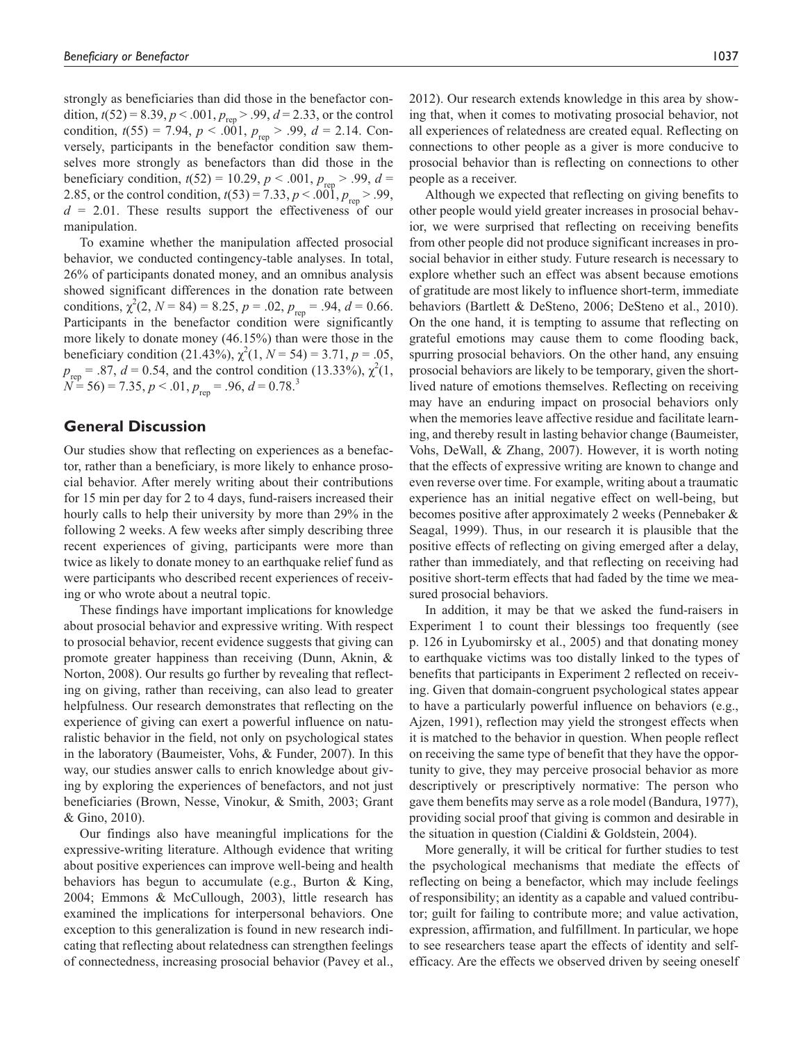strongly as beneficiaries than did those in the benefactor condition,  $t(52) = 8.39, p < .001, p_{rep} > .99, d = 2.33$ , or the control condition,  $t(55) = 7.94$ ,  $p < .001$ ,  $p_{\text{rep}} > .99$ ,  $d = 2.14$ . Conversely, participants in the benefactor condition saw themselves more strongly as benefactors than did those in the beneficiary condition,  $t(52) = 10.29$ ,  $p < .001$ ,  $p_{\text{ren}} > .99$ ,  $d =$ 2.85, or the control condition,  $t(53) = 7.33$ ,  $p < .001$ ,  $p_{\text{ren}} > .99$ ,  $d = 2.01$ . These results support the effectiveness of our manipulation.

To examine whether the manipulation affected prosocial behavior, we conducted contingency-table analyses. In total, 26% of participants donated money, and an omnibus analysis showed significant differences in the donation rate between conditions,  $\chi^2(2, N = 84) = 8.25$ ,  $p = .02$ ,  $p_{\text{rep}} = .94$ ,  $d = 0.66$ . Participants in the benefactor condition were significantly more likely to donate money (46.15%) than were those in the beneficiary condition (21.43%),  $\chi^2(1, N = 54) = 3.71$ ,  $p = .05$ ,  $p_{\text{rep}} = .87, d = 0.54,$  and the control condition (13.33%),  $\chi^2(1, \chi^2)$  $N = 56$ ) = 7.35, *p* < .01,  $p_{\text{rep}}$  = .96, *d* = 0.78.<sup>3</sup>

## **General Discussion**

Our studies show that reflecting on experiences as a benefactor, rather than a beneficiary, is more likely to enhance prosocial behavior. After merely writing about their contributions for 15 min per day for 2 to 4 days, fund-raisers increased their hourly calls to help their university by more than 29% in the following 2 weeks. A few weeks after simply describing three recent experiences of giving, participants were more than twice as likely to donate money to an earthquake relief fund as were participants who described recent experiences of receiving or who wrote about a neutral topic.

These findings have important implications for knowledge about prosocial behavior and expressive writing. With respect to prosocial behavior, recent evidence suggests that giving can promote greater happiness than receiving (Dunn, Aknin, & Norton, 2008). Our results go further by revealing that reflecting on giving, rather than receiving, can also lead to greater helpfulness. Our research demonstrates that reflecting on the experience of giving can exert a powerful influence on naturalistic behavior in the field, not only on psychological states in the laboratory (Baumeister, Vohs, & Funder, 2007). In this way, our studies answer calls to enrich knowledge about giving by exploring the experiences of benefactors, and not just beneficiaries (Brown, Nesse, Vinokur, & Smith, 2003; Grant & Gino, 2010).

Our findings also have meaningful implications for the expressive-writing literature. Although evidence that writing about positive experiences can improve well-being and health behaviors has begun to accumulate (e.g., Burton & King, 2004; Emmons & McCullough, 2003), little research has examined the implications for interpersonal behaviors. One exception to this generalization is found in new research indicating that reflecting about relatedness can strengthen feelings of connectedness, increasing prosocial behavior (Pavey et al.,

2012). Our research extends knowledge in this area by showing that, when it comes to motivating prosocial behavior, not all experiences of relatedness are created equal. Reflecting on connections to other people as a giver is more conducive to prosocial behavior than is reflecting on connections to other people as a receiver.

Although we expected that reflecting on giving benefits to other people would yield greater increases in prosocial behavior, we were surprised that reflecting on receiving benefits from other people did not produce significant increases in prosocial behavior in either study. Future research is necessary to explore whether such an effect was absent because emotions of gratitude are most likely to influence short-term, immediate behaviors (Bartlett & DeSteno, 2006; DeSteno et al., 2010). On the one hand, it is tempting to assume that reflecting on grateful emotions may cause them to come flooding back, spurring prosocial behaviors. On the other hand, any ensuing prosocial behaviors are likely to be temporary, given the shortlived nature of emotions themselves. Reflecting on receiving may have an enduring impact on prosocial behaviors only when the memories leave affective residue and facilitate learning, and thereby result in lasting behavior change (Baumeister, Vohs, DeWall, & Zhang, 2007). However, it is worth noting that the effects of expressive writing are known to change and even reverse over time. For example, writing about a traumatic experience has an initial negative effect on well-being, but becomes positive after approximately 2 weeks (Pennebaker & Seagal, 1999). Thus, in our research it is plausible that the positive effects of reflecting on giving emerged after a delay, rather than immediately, and that reflecting on receiving had positive short-term effects that had faded by the time we measured prosocial behaviors.

In addition, it may be that we asked the fund-raisers in Experiment 1 to count their blessings too frequently (see p. 126 in Lyubomirsky et al., 2005) and that donating money to earthquake victims was too distally linked to the types of benefits that participants in Experiment 2 reflected on receiving. Given that domain-congruent psychological states appear to have a particularly powerful influence on behaviors (e.g., Ajzen, 1991), reflection may yield the strongest effects when it is matched to the behavior in question. When people reflect on receiving the same type of benefit that they have the opportunity to give, they may perceive prosocial behavior as more descriptively or prescriptively normative: The person who gave them benefits may serve as a role model (Bandura, 1977), providing social proof that giving is common and desirable in the situation in question (Cialdini & Goldstein, 2004).

More generally, it will be critical for further studies to test the psychological mechanisms that mediate the effects of reflecting on being a benefactor, which may include feelings of responsibility; an identity as a capable and valued contributor; guilt for failing to contribute more; and value activation, expression, affirmation, and fulfillment. In particular, we hope to see researchers tease apart the effects of identity and selfefficacy. Are the effects we observed driven by seeing oneself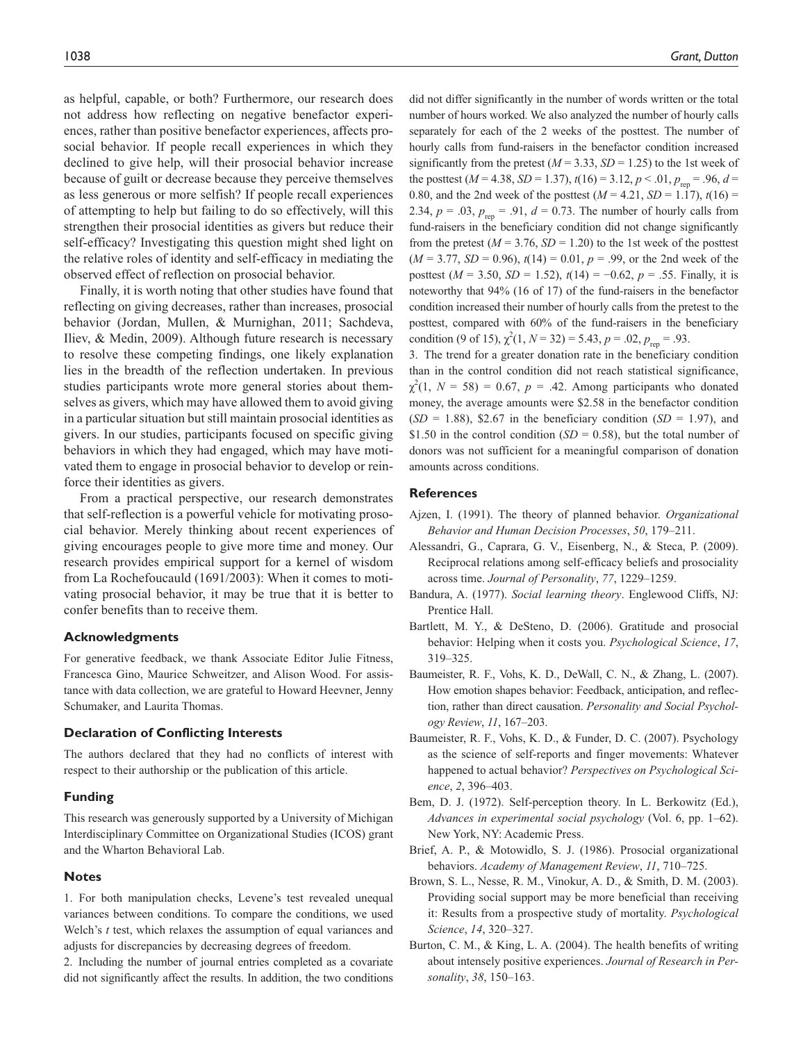as helpful, capable, or both? Furthermore, our research does not address how reflecting on negative benefactor experiences, rather than positive benefactor experiences, affects prosocial behavior. If people recall experiences in which they declined to give help, will their prosocial behavior increase because of guilt or decrease because they perceive themselves as less generous or more selfish? If people recall experiences of attempting to help but failing to do so effectively, will this strengthen their prosocial identities as givers but reduce their self-efficacy? Investigating this question might shed light on the relative roles of identity and self-efficacy in mediating the observed effect of reflection on prosocial behavior.

Finally, it is worth noting that other studies have found that reflecting on giving decreases, rather than increases, prosocial behavior (Jordan, Mullen, & Murnighan, 2011; Sachdeva, Iliev, & Medin, 2009). Although future research is necessary to resolve these competing findings, one likely explanation lies in the breadth of the reflection undertaken. In previous studies participants wrote more general stories about themselves as givers, which may have allowed them to avoid giving in a particular situation but still maintain prosocial identities as givers. In our studies, participants focused on specific giving behaviors in which they had engaged, which may have motivated them to engage in prosocial behavior to develop or reinforce their identities as givers.

From a practical perspective, our research demonstrates that self-reflection is a powerful vehicle for motivating prosocial behavior. Merely thinking about recent experiences of giving encourages people to give more time and money. Our research provides empirical support for a kernel of wisdom from La Rochefoucauld (1691/2003): When it comes to motivating prosocial behavior, it may be true that it is better to confer benefits than to receive them.

#### **Acknowledgments**

For generative feedback, we thank Associate Editor Julie Fitness, Francesca Gino, Maurice Schweitzer, and Alison Wood. For assistance with data collection, we are grateful to Howard Heevner, Jenny Schumaker, and Laurita Thomas.

#### **Declaration of Conflicting Interests**

The authors declared that they had no conflicts of interest with respect to their authorship or the publication of this article.

#### **Funding**

This research was generously supported by a University of Michigan Interdisciplinary Committee on Organizational Studies (ICOS) grant and the Wharton Behavioral Lab.

#### **Notes**

1. For both manipulation checks, Levene's test revealed unequal variances between conditions. To compare the conditions, we used Welch's *t* test, which relaxes the assumption of equal variances and adjusts for discrepancies by decreasing degrees of freedom.

2. Including the number of journal entries completed as a covariate did not significantly affect the results. In addition, the two conditions did not differ significantly in the number of words written or the total number of hours worked. We also analyzed the number of hourly calls separately for each of the 2 weeks of the posttest. The number of hourly calls from fund-raisers in the benefactor condition increased significantly from the pretest  $(M = 3.33, SD = 1.25)$  to the 1st week of the posttest ( $M = 4.38$ ,  $SD = 1.37$ ),  $t(16) = 3.12$ ,  $p < .01$ ,  $p_{\text{ren}} = .96$ ,  $d =$ 0.80, and the 2nd week of the posttest  $(M = 4.21, SD = 1.17)$ ,  $t(16) =$ 2.34,  $p = .03$ ,  $p_{\text{ren}} = .91$ ,  $d = 0.73$ . The number of hourly calls from fund-raisers in the beneficiary condition did not change significantly from the pretest  $(M = 3.76, SD = 1.20)$  to the 1st week of the posttest  $(M = 3.77, SD = 0.96)$ ,  $t(14) = 0.01$ ,  $p = .99$ , or the 2nd week of the posttest ( $M = 3.50$ ,  $SD = 1.52$ ),  $t(14) = -0.62$ ,  $p = .55$ . Finally, it is noteworthy that 94% (16 of 17) of the fund-raisers in the benefactor condition increased their number of hourly calls from the pretest to the posttest, compared with 60% of the fund-raisers in the beneficiary condition (9 of 15),  $\chi^2(1, N = 32) = 5.43, p = .02, p_{rep} = .93.$ 

3. The trend for a greater donation rate in the beneficiary condition than in the control condition did not reach statistical significance,  $\chi^2(1, N = 58) = 0.67$ ,  $p = .42$ . Among participants who donated money, the average amounts were \$2.58 in the benefactor condition  $(SD = 1.88)$ , \$2.67 in the beneficiary condition  $(SD = 1.97)$ , and \$1.50 in the control condition  $(SD = 0.58)$ , but the total number of donors was not sufficient for a meaningful comparison of donation amounts across conditions.

#### **References**

- Ajzen, I. (1991). The theory of planned behavior. *Organizational Behavior and Human Decision Processes*, *50*, 179–211.
- Alessandri, G., Caprara, G. V., Eisenberg, N., & Steca, P. (2009). Reciprocal relations among self-efficacy beliefs and prosociality across time. *Journal of Personality*, *77*, 1229–1259.
- Bandura, A. (1977). *Social learning theory*. Englewood Cliffs, NJ: Prentice Hall.
- Bartlett, M. Y., & DeSteno, D. (2006). Gratitude and prosocial behavior: Helping when it costs you. *Psychological Science*, *17*, 319–325.
- Baumeister, R. F., Vohs, K. D., DeWall, C. N., & Zhang, L. (2007). How emotion shapes behavior: Feedback, anticipation, and reflection, rather than direct causation. *Personality and Social Psychology Review*, *11*, 167–203.
- Baumeister, R. F., Vohs, K. D., & Funder, D. C. (2007). Psychology as the science of self-reports and finger movements: Whatever happened to actual behavior? *Perspectives on Psychological Science*, *2*, 396–403.
- Bem, D. J. (1972). Self-perception theory. In L. Berkowitz (Ed.), *Advances in experimental social psychology* (Vol. 6, pp. 1–62). New York, NY: Academic Press.
- Brief, A. P., & Motowidlo, S. J. (1986). Prosocial organizational behaviors. *Academy of Management Review*, *11*, 710–725.
- Brown, S. L., Nesse, R. M., Vinokur, A. D., & Smith, D. M. (2003). Providing social support may be more beneficial than receiving it: Results from a prospective study of mortality. *Psychological Science*, *14*, 320–327.
- Burton, C. M., & King, L. A. (2004). The health benefits of writing about intensely positive experiences. *Journal of Research in Personality*, *38*, 150–163.